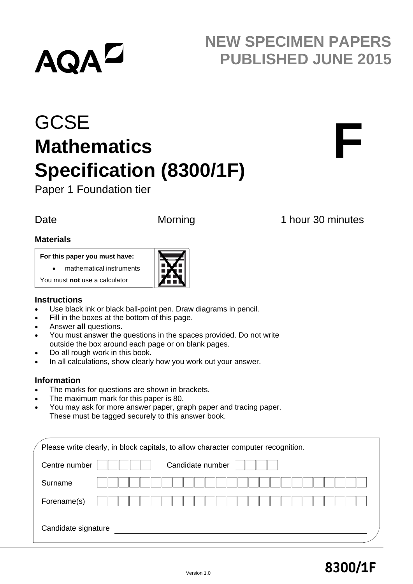# **AQAL**

## **NEW SPECIMEN PAPERS PUBLISHED JUNE 2015**

# **GCSE Mathematics Specification (8300/1F)**

Paper 1 Foundation tier

Date Morning 1 hour 30 minutes

**F**

#### **Materials**

#### **For this paper you must have:**

mathematical instruments

You must **not** use a calculator

#### **Instructions**

- Use black ink or black ball-point pen. Draw diagrams in pencil.
- Fill in the boxes at the bottom of this page.
- Answer **all** questions.
- You must answer the questions in the spaces provided. Do not write outside the box around each page or on blank pages.
- Do all rough work in this book.
- In all calculations, show clearly how you work out your answer.

#### **Information**

- The marks for questions are shown in brackets.
- The maximum mark for this paper is 80.
- You may ask for more answer paper, graph paper and tracing paper. These must be tagged securely to this answer book.

|                     | Please write clearly, in block capitals, to allow character computer recognition. |
|---------------------|-----------------------------------------------------------------------------------|
| Centre number       | Candidate number                                                                  |
| Surname             |                                                                                   |
| Forename(s)         |                                                                                   |
| Candidate signature |                                                                                   |

### Version 1.0 **8300/1F**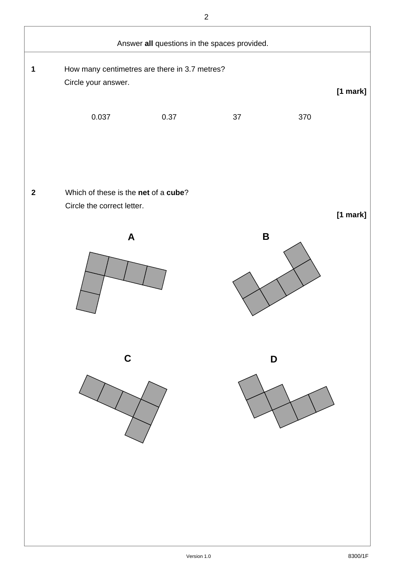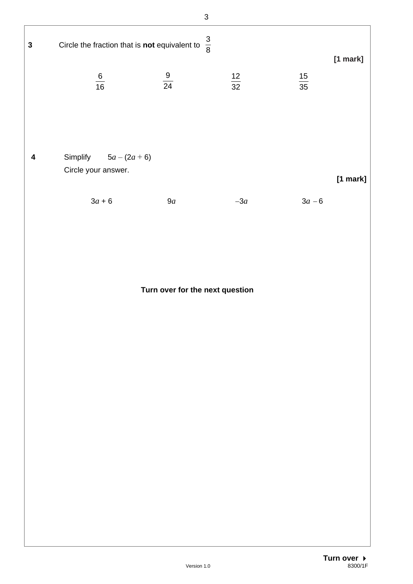|              |                                                             | $\mathfrak{S}$ |                 |                 |            |
|--------------|-------------------------------------------------------------|----------------|-----------------|-----------------|------------|
| $\mathbf{3}$ | Circle the fraction that is not equivalent to               | $\frac{3}{8}$  |                 |                 | [1 mark]   |
|              | $\frac{6}{16}$                                              | $\frac{9}{24}$ | $\frac{12}{32}$ | $\frac{15}{35}$ |            |
| 4            | Simplify $5a - (2a + 6)$<br>Circle your answer.<br>$3a + 6$ | 9a             | $-3a$           | $3a - 6$        | $[1$ mark] |
|              |                                                             |                |                 |                 |            |

**Turn over for the next question**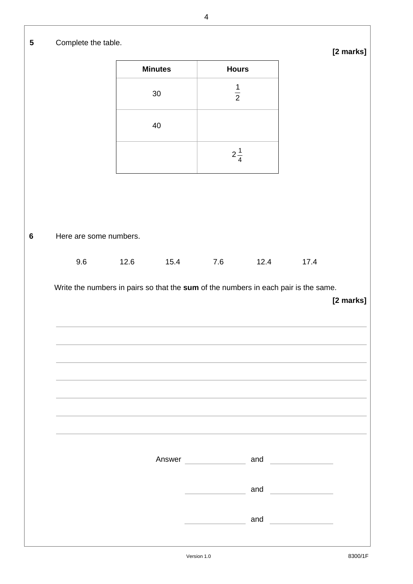|                        | <b>Minutes</b>                                                                              |      | <b>Hours</b>   |      |                                                                                                                                                                                                                                      |           |
|------------------------|---------------------------------------------------------------------------------------------|------|----------------|------|--------------------------------------------------------------------------------------------------------------------------------------------------------------------------------------------------------------------------------------|-----------|
|                        | $30\,$                                                                                      |      | $\frac{1}{2}$  |      |                                                                                                                                                                                                                                      |           |
|                        | 40                                                                                          |      |                |      |                                                                                                                                                                                                                                      |           |
|                        |                                                                                             |      | $2\frac{1}{4}$ |      |                                                                                                                                                                                                                                      |           |
|                        |                                                                                             |      |                |      |                                                                                                                                                                                                                                      |           |
| Here are some numbers. |                                                                                             |      |                |      |                                                                                                                                                                                                                                      |           |
|                        |                                                                                             |      |                |      |                                                                                                                                                                                                                                      |           |
| 9.6                    | 12.6<br>Write the numbers in pairs so that the sum of the numbers in each pair is the same. | 15.4 | 7.6            | 12.4 | 17.4                                                                                                                                                                                                                                 |           |
|                        |                                                                                             |      |                |      |                                                                                                                                                                                                                                      |           |
|                        |                                                                                             |      |                |      |                                                                                                                                                                                                                                      |           |
|                        |                                                                                             |      |                |      |                                                                                                                                                                                                                                      |           |
|                        |                                                                                             |      |                |      |                                                                                                                                                                                                                                      |           |
|                        |                                                                                             |      |                |      |                                                                                                                                                                                                                                      |           |
|                        |                                                                                             |      | Answer         |      | and <b>expanding the set of the set of the set of the set of the set of the set of the set of the set of the set of the set of the set of the set of the set of the set of the set of the set of the set of the set of the set o</b> |           |
|                        |                                                                                             |      |                | and  | <u> Albanya (Albanya)</u>                                                                                                                                                                                                            | [2 marks] |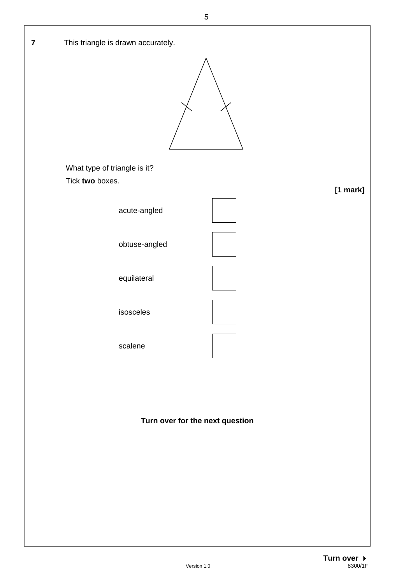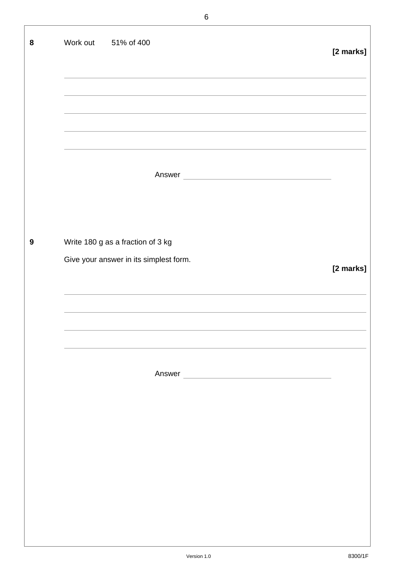| 8                | Work out 51% of 400                                                                                                            | [2 marks] |
|------------------|--------------------------------------------------------------------------------------------------------------------------------|-----------|
|                  |                                                                                                                                |           |
|                  |                                                                                                                                |           |
|                  |                                                                                                                                |           |
|                  |                                                                                                                                |           |
|                  | Answer<br><u> 1980 - Johann Barn, mars ar breithinn ar breithinn ar breithinn ar breithinn ar breithinn ar breithinn ar br</u> |           |
|                  |                                                                                                                                |           |
| $\boldsymbol{9}$ | Write 180 g as a fraction of 3 kg                                                                                              |           |
|                  | Give your answer in its simplest form.                                                                                         | [2 marks] |
|                  |                                                                                                                                |           |
|                  |                                                                                                                                |           |
|                  |                                                                                                                                |           |
|                  | Answer                                                                                                                         |           |
|                  |                                                                                                                                |           |
|                  |                                                                                                                                |           |
|                  |                                                                                                                                |           |
|                  |                                                                                                                                |           |
|                  |                                                                                                                                |           |
|                  |                                                                                                                                |           |
|                  |                                                                                                                                |           |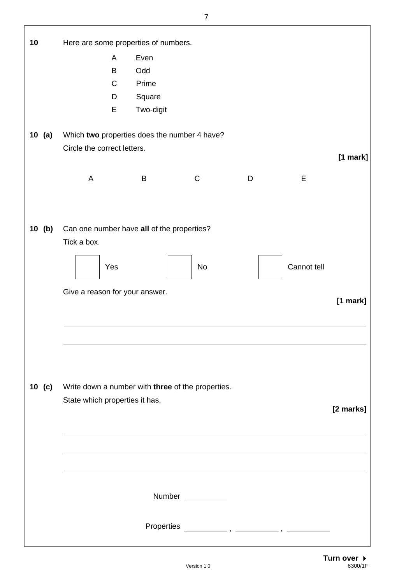| 10       | Here are some properties of numbers.              |           |              |   |             |            |
|----------|---------------------------------------------------|-----------|--------------|---|-------------|------------|
|          | A                                                 | Even      |              |   |             |            |
|          | B                                                 | Odd       |              |   |             |            |
|          | $\mathsf{C}$                                      | Prime     |              |   |             |            |
|          | D                                                 | Square    |              |   |             |            |
|          | E                                                 | Two-digit |              |   |             |            |
|          |                                                   |           |              |   |             |            |
| 10 (a)   | Which two properties does the number 4 have?      |           |              |   |             |            |
|          | Circle the correct letters.                       |           |              |   |             |            |
|          |                                                   |           |              |   |             | [1 mark]   |
|          | A                                                 | B         | $\mathsf{C}$ | D | Е           |            |
|          |                                                   |           |              |   |             |            |
|          |                                                   |           |              |   |             |            |
|          |                                                   |           |              |   |             |            |
| 10(b)    | Can one number have all of the properties?        |           |              |   |             |            |
|          | Tick a box.                                       |           |              |   |             |            |
|          |                                                   |           |              |   |             |            |
|          | Yes                                               |           | No           |   | Cannot tell |            |
|          |                                                   |           |              |   |             |            |
|          | Give a reason for your answer.                    |           |              |   |             | $[1$ mark] |
|          |                                                   |           |              |   |             |            |
|          |                                                   |           |              |   |             |            |
|          |                                                   |           |              |   |             |            |
|          |                                                   |           |              |   |             |            |
|          |                                                   |           |              |   |             |            |
|          |                                                   |           |              |   |             |            |
| 10 $(c)$ | Write down a number with three of the properties. |           |              |   |             |            |
|          | State which properties it has.                    |           |              |   |             |            |
|          |                                                   |           |              |   |             | [2 marks]  |
|          |                                                   |           |              |   |             |            |
|          |                                                   |           |              |   |             |            |
|          |                                                   |           |              |   |             |            |
|          |                                                   |           |              |   |             |            |
|          |                                                   |           |              |   |             |            |
|          |                                                   |           | Number       |   |             |            |
|          |                                                   |           |              |   |             |            |
|          |                                                   |           |              |   |             |            |
|          |                                                   |           |              |   |             |            |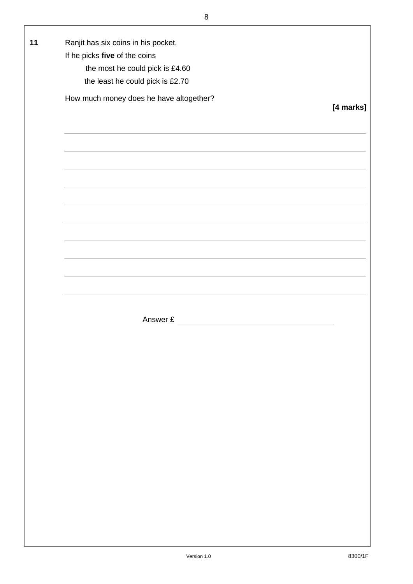| the most he could pick is £4.60<br>the least he could pick is £2.70 |           |
|---------------------------------------------------------------------|-----------|
| How much money does he have altogether?                             | [4 marks] |
|                                                                     |           |
|                                                                     |           |
| <u> 1989 - Johann Stoff, amerikansk politiker (d. 1989)</u>         |           |
|                                                                     |           |
|                                                                     |           |
|                                                                     |           |
|                                                                     |           |
|                                                                     |           |
|                                                                     |           |
|                                                                     |           |
| Answer £                                                            |           |
|                                                                     |           |
|                                                                     |           |
|                                                                     |           |
|                                                                     |           |
|                                                                     |           |
|                                                                     |           |
|                                                                     |           |
|                                                                     |           |
|                                                                     |           |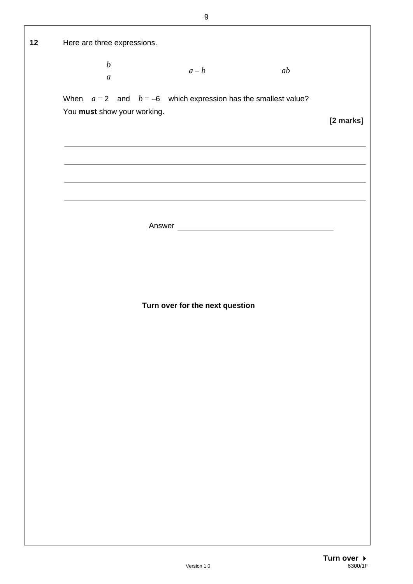| 12 | Here are three expressions.                                    |                                 |                                                                                                                                                                                                                               |           |
|----|----------------------------------------------------------------|---------------------------------|-------------------------------------------------------------------------------------------------------------------------------------------------------------------------------------------------------------------------------|-----------|
|    | $\frac{b}{a}$                                                  | $a-b$                           | ab                                                                                                                                                                                                                            |           |
|    |                                                                |                                 |                                                                                                                                                                                                                               |           |
|    | When $a=2$ and $b=-6$ which expression has the smallest value? |                                 |                                                                                                                                                                                                                               |           |
|    | You must show your working.                                    |                                 |                                                                                                                                                                                                                               |           |
|    |                                                                |                                 |                                                                                                                                                                                                                               | [2 marks] |
|    |                                                                |                                 |                                                                                                                                                                                                                               |           |
|    |                                                                |                                 |                                                                                                                                                                                                                               |           |
|    |                                                                |                                 |                                                                                                                                                                                                                               |           |
|    |                                                                |                                 | the control of the control of the control of the control of the control of the control of the control of the control of the control of the control of the control of the control of the control of the control of the control |           |
|    |                                                                |                                 |                                                                                                                                                                                                                               |           |
|    |                                                                |                                 |                                                                                                                                                                                                                               |           |
|    |                                                                |                                 | Answer                                                                                                                                                                                                                        |           |
|    |                                                                |                                 |                                                                                                                                                                                                                               |           |
|    |                                                                |                                 |                                                                                                                                                                                                                               |           |
|    |                                                                |                                 |                                                                                                                                                                                                                               |           |
|    |                                                                |                                 |                                                                                                                                                                                                                               |           |
|    |                                                                | Turn over for the next question |                                                                                                                                                                                                                               |           |
|    |                                                                |                                 |                                                                                                                                                                                                                               |           |
|    |                                                                |                                 |                                                                                                                                                                                                                               |           |
|    |                                                                |                                 |                                                                                                                                                                                                                               |           |
|    |                                                                |                                 |                                                                                                                                                                                                                               |           |
|    |                                                                |                                 |                                                                                                                                                                                                                               |           |
|    |                                                                |                                 |                                                                                                                                                                                                                               |           |
|    |                                                                |                                 |                                                                                                                                                                                                                               |           |
|    |                                                                |                                 |                                                                                                                                                                                                                               |           |
|    |                                                                |                                 |                                                                                                                                                                                                                               |           |
|    |                                                                |                                 |                                                                                                                                                                                                                               |           |
|    |                                                                |                                 |                                                                                                                                                                                                                               |           |
|    |                                                                |                                 |                                                                                                                                                                                                                               |           |
|    |                                                                |                                 |                                                                                                                                                                                                                               |           |
|    |                                                                |                                 |                                                                                                                                                                                                                               |           |
|    |                                                                |                                 |                                                                                                                                                                                                                               |           |
|    |                                                                |                                 |                                                                                                                                                                                                                               |           |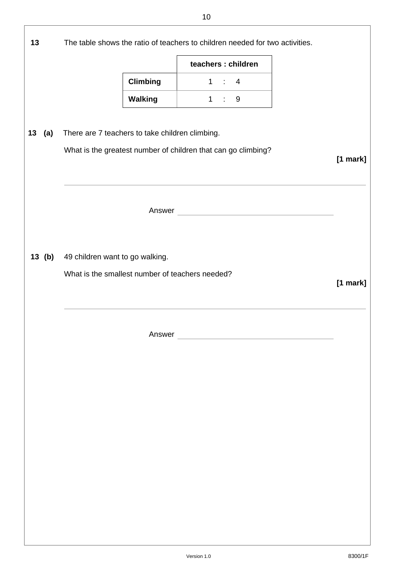|           |                                                                                    |                 | teachers : children |       |        |            |
|-----------|------------------------------------------------------------------------------------|-----------------|---------------------|-------|--------|------------|
|           |                                                                                    | <b>Climbing</b> |                     | 1:4   |        |            |
|           |                                                                                    | <b>Walking</b>  |                     | 1 : 9 |        |            |
|           |                                                                                    |                 |                     |       |        |            |
| 13<br>(a) | There are 7 teachers to take children climbing.                                    |                 |                     |       |        |            |
|           | What is the greatest number of children that can go climbing?                      |                 |                     |       |        | $[1$ mark] |
|           |                                                                                    |                 |                     |       | Answer |            |
| 13(b)     | 49 children want to go walking.<br>What is the smallest number of teachers needed? |                 |                     |       |        |            |
|           |                                                                                    |                 |                     |       |        | $[1$ mark] |
|           |                                                                                    | Answer          |                     |       |        |            |
|           |                                                                                    |                 |                     |       |        |            |
|           |                                                                                    |                 |                     |       |        |            |
|           |                                                                                    |                 |                     |       |        |            |
|           |                                                                                    |                 |                     |       |        |            |
|           |                                                                                    |                 |                     |       |        |            |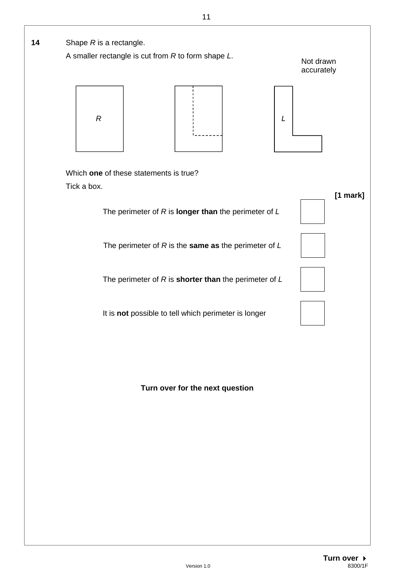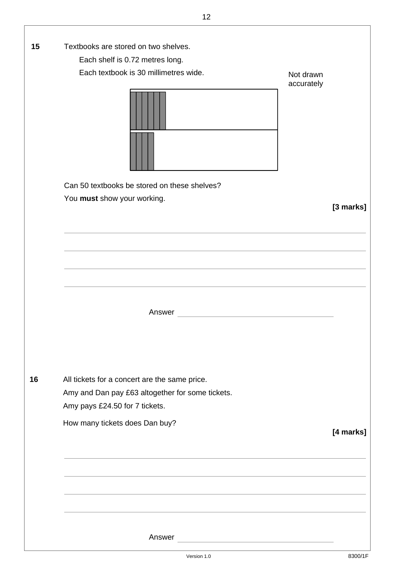| 15 | Textbooks are stored on two shelves.             |            |           |
|----|--------------------------------------------------|------------|-----------|
|    | Each shelf is 0.72 metres long.                  |            |           |
|    | Each textbook is 30 millimetres wide.            | Not drawn  |           |
|    |                                                  | accurately |           |
|    |                                                  |            |           |
|    |                                                  |            |           |
|    | Can 50 textbooks be stored on these shelves?     |            |           |
|    | You must show your working.                      |            |           |
|    |                                                  |            | [3 marks] |
|    |                                                  |            |           |
|    |                                                  |            |           |
|    |                                                  |            |           |
|    |                                                  |            |           |
|    |                                                  |            |           |
|    |                                                  |            |           |
|    | Answer                                           |            |           |
|    |                                                  |            |           |
|    |                                                  |            |           |
|    |                                                  |            |           |
|    |                                                  |            |           |
| 16 | All tickets for a concert are the same price.    |            |           |
|    | Amy and Dan pay £63 altogether for some tickets. |            |           |
|    | Amy pays £24.50 for 7 tickets.                   |            |           |
|    |                                                  |            |           |
|    | How many tickets does Dan buy?                   |            | [4 marks] |
|    |                                                  |            |           |
|    |                                                  |            |           |
|    |                                                  |            |           |
|    |                                                  |            |           |
|    |                                                  |            |           |
|    |                                                  |            |           |
|    |                                                  |            |           |
|    |                                                  |            |           |
|    |                                                  |            |           |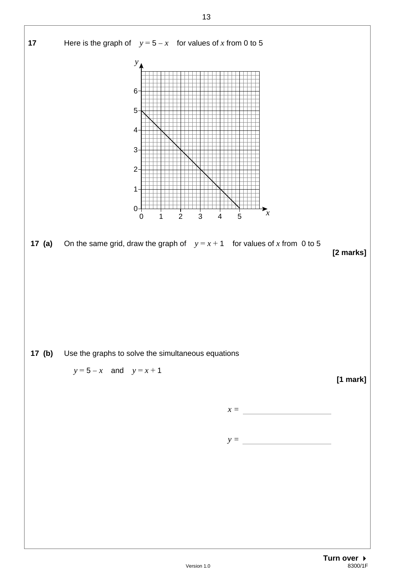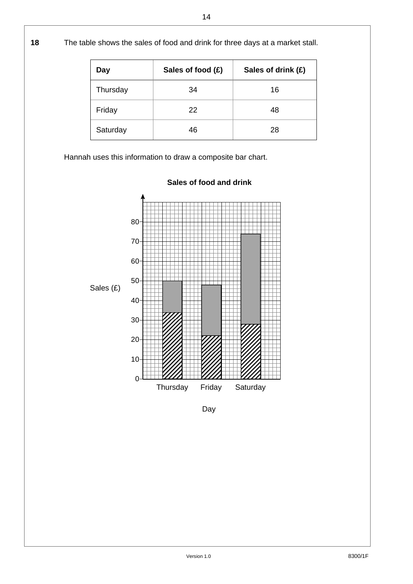**18** The table shows the sales of food and drink for three days at a market stall.

| Day      | Sales of food (£) | Sales of drink (£) |
|----------|-------------------|--------------------|
| Thursday | 34                | 16                 |
| Friday   | 22                | 48                 |
| Saturday | 46                | 28                 |

Hannah uses this information to draw a composite bar chart.



**Sales of food and drink** 

Day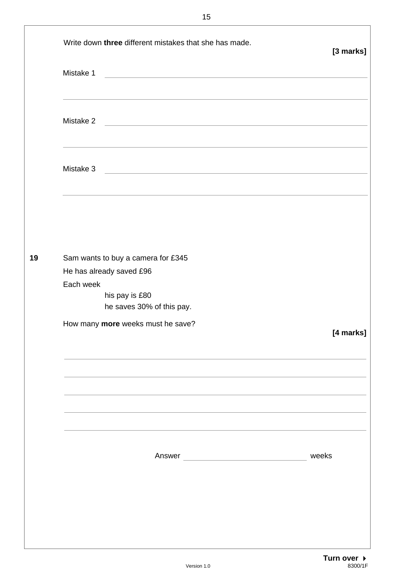|    | Write down three different mistakes that she has made.<br>Mistake 1<br><u> 1989 - Andrea Stadt, fransk politik (d. 1989)</u>                                                                                           | [3 marks] |
|----|------------------------------------------------------------------------------------------------------------------------------------------------------------------------------------------------------------------------|-----------|
|    | Mistake 2<br><u> 1989 - Andrea Stadt Britain, amerikansk politik (</u>                                                                                                                                                 |           |
|    | ,我们也不能在这里的时候,我们也不能在这里的时候,我们也不能会在这里的时候,我们也不能会在这里的时候,我们也不能会在这里的时候,我们也不能会在这里的时候,我们也<br>Mistake 3<br><u> 1989 - Johann Harry Harry Harry Harry Harry Harry Harry Harry Harry Harry Harry Harry Harry Harry Harry Harry</u> |           |
|    |                                                                                                                                                                                                                        |           |
| 19 | Sam wants to buy a camera for £345<br>He has already saved £96<br>Each week<br>his pay is £80<br>he saves 30% of this pay.                                                                                             |           |
|    | How many more weeks must he save?                                                                                                                                                                                      | [4 marks] |
|    |                                                                                                                                                                                                                        |           |
|    |                                                                                                                                                                                                                        | weeks     |
|    |                                                                                                                                                                                                                        |           |
|    |                                                                                                                                                                                                                        |           |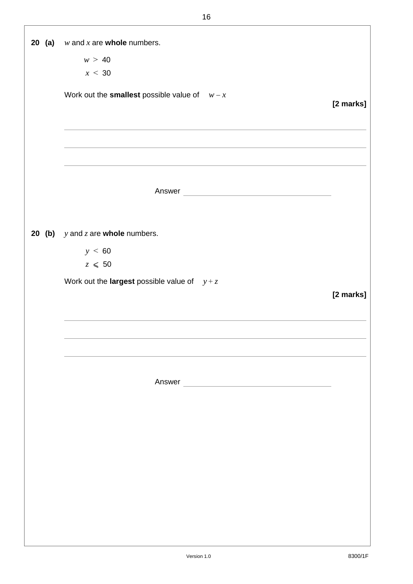|  | <b>20 (a)</b> $w$ and $x$ are <b>whole</b> numbers.    |           |
|--|--------------------------------------------------------|-----------|
|  | w > 40                                                 |           |
|  | x < 30                                                 |           |
|  |                                                        |           |
|  | Work out the <b>smallest</b> possible value of $w - x$ | [2 marks] |
|  |                                                        |           |
|  |                                                        |           |
|  |                                                        |           |
|  |                                                        |           |
|  |                                                        |           |
|  |                                                        |           |
|  |                                                        |           |
|  |                                                        |           |
|  |                                                        |           |
|  | <b>20 (b)</b> $y$ and $z$ are <b>whole</b> numbers.    |           |
|  | y < 60                                                 |           |
|  | $z\,\leq\,50$                                          |           |
|  | Work out the <b>largest</b> possible value of $y + z$  |           |
|  |                                                        | [2 marks] |
|  |                                                        |           |
|  |                                                        |           |
|  |                                                        |           |
|  |                                                        |           |
|  |                                                        |           |
|  |                                                        |           |
|  | Answer                                                 |           |
|  |                                                        |           |
|  |                                                        |           |
|  |                                                        |           |
|  |                                                        |           |
|  |                                                        |           |
|  |                                                        |           |
|  |                                                        |           |
|  |                                                        |           |
|  |                                                        |           |
|  |                                                        |           |
|  |                                                        |           |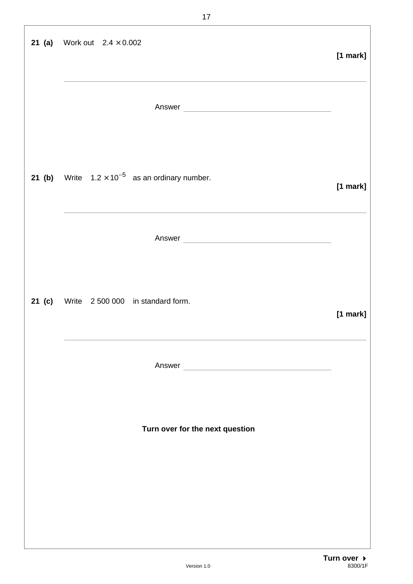| <b>21 (a)</b> Work out $2.4 \times 0.002$                       | $[1$ mark] |
|-----------------------------------------------------------------|------------|
| Answer                                                          |            |
| <b>21 (b)</b> Write $1.2 \times 10^{-5}$ as an ordinary number. | [1 mark]   |
| Answer                                                          |            |
| 21 (c) Write 2 500 000 in standard form.                        | $[1$ mark] |
|                                                                 |            |
| Turn over for the next question                                 |            |
|                                                                 |            |
|                                                                 |            |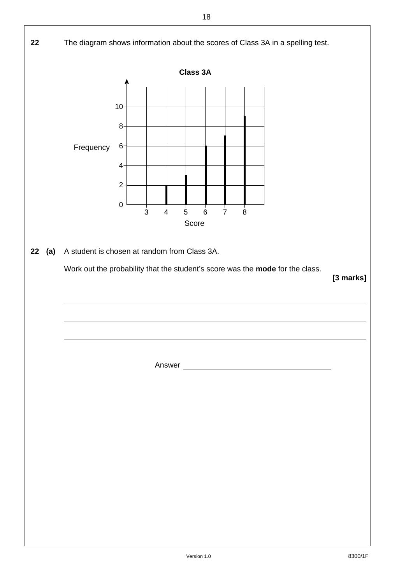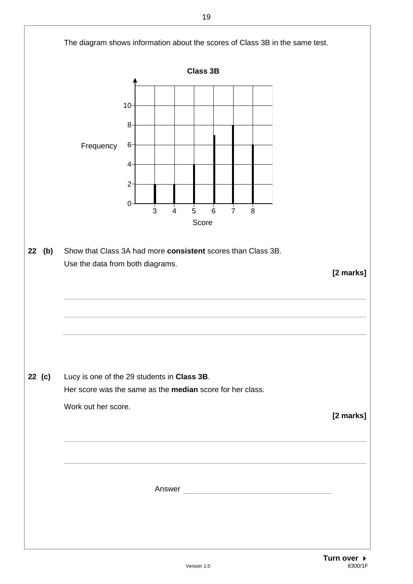

Version 1.0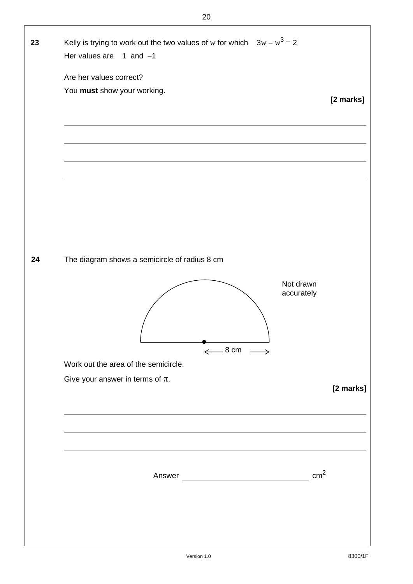| 23 | Kelly is trying to work out the two values of w for which $3w - w^3 = 2$<br>Her values are $1$ and $-1$<br>Are her values correct?<br>You must show your working. | [2 marks] |
|----|-------------------------------------------------------------------------------------------------------------------------------------------------------------------|-----------|
| 24 | The diagram shows a semicircle of radius 8 cm<br>Not drawn<br>accurately<br>$\xleftarrow{8}$ cm $\xrightarrow{ }$                                                 |           |
|    | Work out the area of the semicircle.<br>Give your answer in terms of $\pi$ .<br>cm <sup>2</sup>                                                                   | [2 marks] |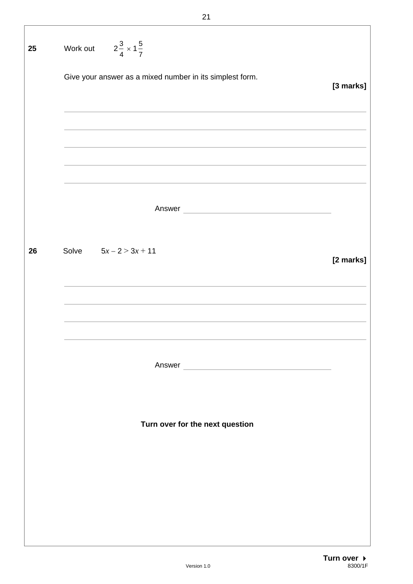| 25 | Work out $2\frac{3}{4} \times 1\frac{5}{7}$              |           |
|----|----------------------------------------------------------|-----------|
|    | Give your answer as a mixed number in its simplest form. | [3 marks] |
|    |                                                          |           |
|    |                                                          |           |
|    |                                                          |           |
|    |                                                          |           |
|    |                                                          |           |
| 26 | Solve $5x - 2 > 3x + 11$                                 | [2 marks] |
|    |                                                          |           |
|    |                                                          |           |
|    |                                                          |           |
|    |                                                          |           |
|    |                                                          |           |
|    | Turn over for the next question                          |           |
|    |                                                          |           |
|    |                                                          |           |
|    |                                                          |           |
|    |                                                          |           |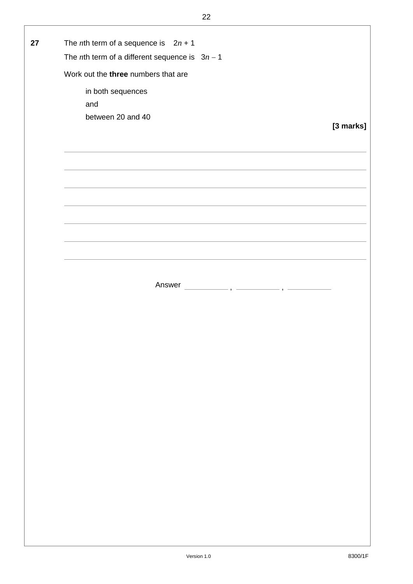| 27 | The <i>n</i> th term of a sequence is $2n + 1$           |           |
|----|----------------------------------------------------------|-----------|
|    | The <i>n</i> th term of a different sequence is $3n - 1$ |           |
|    | Work out the three numbers that are                      |           |
|    | in both sequences                                        |           |
|    |                                                          |           |
|    | and                                                      |           |
|    | between 20 and 40                                        |           |
|    |                                                          | [3 marks] |
|    |                                                          |           |
|    |                                                          |           |
|    |                                                          |           |
|    |                                                          |           |
|    |                                                          |           |
|    |                                                          |           |
|    |                                                          |           |
|    |                                                          |           |
|    |                                                          |           |
|    |                                                          |           |
|    |                                                          |           |
|    |                                                          |           |
|    |                                                          |           |
|    | Answer                                                   |           |
|    |                                                          |           |
|    |                                                          |           |
|    |                                                          |           |
|    |                                                          |           |
|    |                                                          |           |
|    |                                                          |           |
|    |                                                          |           |
|    |                                                          |           |
|    |                                                          |           |
|    |                                                          |           |
|    |                                                          |           |
|    |                                                          |           |
|    |                                                          |           |
|    |                                                          |           |
|    |                                                          |           |
|    |                                                          |           |
|    |                                                          |           |
|    |                                                          |           |
|    |                                                          |           |
|    |                                                          |           |
|    |                                                          |           |
|    |                                                          |           |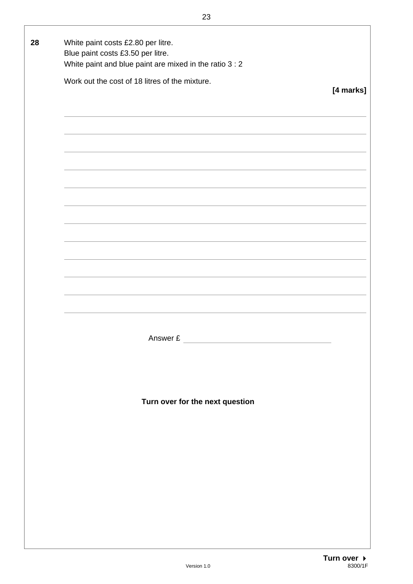| 28 | White paint costs £2.80 per litre.                          |           |
|----|-------------------------------------------------------------|-----------|
|    | Blue paint costs £3.50 per litre.                           |           |
|    | White paint and blue paint are mixed in the ratio 3 : 2     |           |
|    |                                                             |           |
|    | Work out the cost of 18 litres of the mixture.              |           |
|    |                                                             | [4 marks] |
|    |                                                             |           |
|    |                                                             |           |
|    |                                                             |           |
|    |                                                             |           |
|    |                                                             |           |
|    |                                                             |           |
|    |                                                             |           |
|    |                                                             |           |
|    |                                                             |           |
|    |                                                             |           |
|    |                                                             |           |
|    |                                                             |           |
|    |                                                             |           |
|    |                                                             |           |
|    |                                                             |           |
|    |                                                             |           |
|    |                                                             |           |
|    |                                                             |           |
|    |                                                             |           |
|    |                                                             |           |
|    |                                                             |           |
|    |                                                             |           |
|    |                                                             |           |
|    |                                                             |           |
|    |                                                             |           |
|    |                                                             |           |
|    | Answer £<br>the contract of the contract of the contract of |           |
|    |                                                             |           |
|    |                                                             |           |
|    |                                                             |           |
|    |                                                             |           |
|    |                                                             |           |
|    | Turn over for the next question                             |           |
|    |                                                             |           |
|    |                                                             |           |
|    |                                                             |           |
|    |                                                             |           |
|    |                                                             |           |
|    |                                                             |           |
|    |                                                             |           |
|    |                                                             |           |
|    |                                                             |           |
|    |                                                             |           |
|    |                                                             |           |
|    |                                                             |           |
|    |                                                             |           |
|    |                                                             |           |
|    |                                                             |           |
|    |                                                             |           |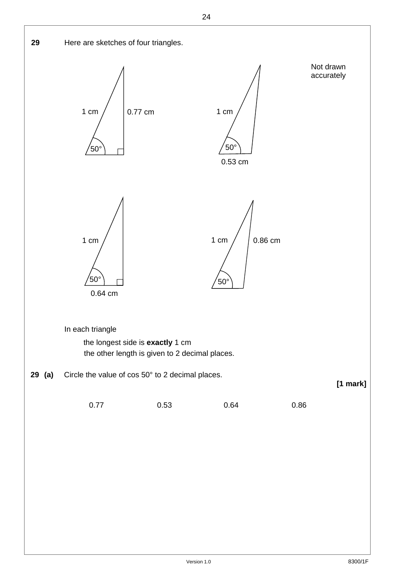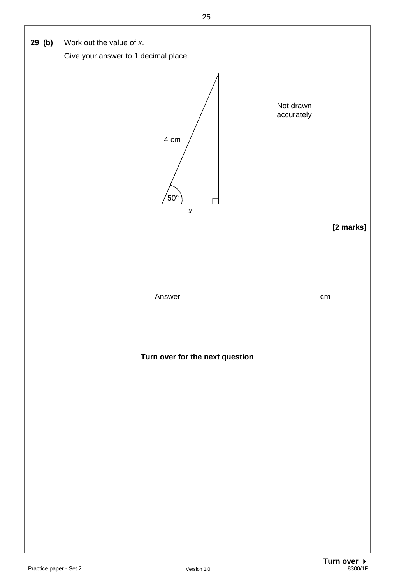